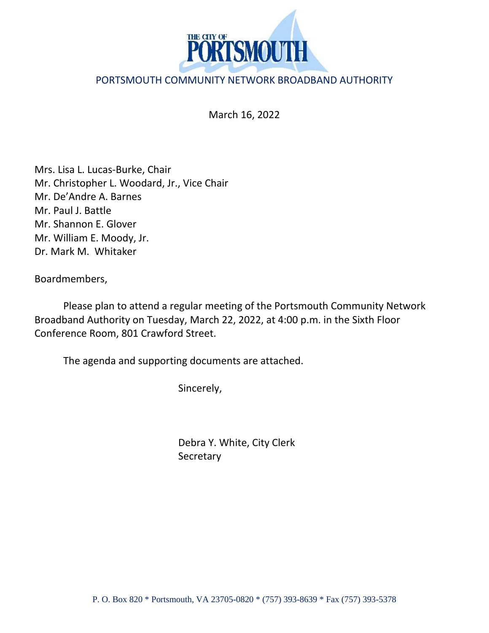

## PORTSMOUTH COMMUNITY NETWORK BROADBAND AUTHORITY

March 16, 2022

Mrs. Lisa L. Lucas-Burke, Chair Mr. Christopher L. Woodard, Jr., Vice Chair Mr. De'Andre A. Barnes Mr. Paul J. Battle Mr. Shannon E. Glover Mr. William E. Moody, Jr. Dr. Mark M. Whitaker

Boardmembers,

Please plan to attend a regular meeting of the Portsmouth Community Network Broadband Authority on Tuesday, March 22, 2022, at 4:00 p.m. in the Sixth Floor Conference Room, 801 Crawford Street.

The agenda and supporting documents are attached.

Sincerely,

Debra Y. White, City Clerk **Secretary**